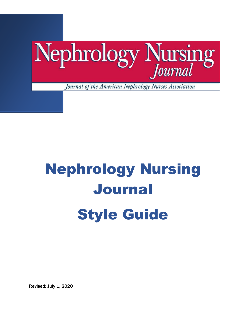

Revised: July 1, 2020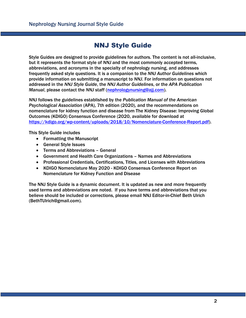# NNJ Style Guide

Style Guides are designed to provide guidelines for authors. The content is not all-inclusive, but it represents the format style of *NNJ* and the most commonly accepted terms, abbreviations, and acronyms in the specialty of nephrology nursing, and addresses frequently asked style questions. It is a companion to the *NNJ Author Guidelines* which provide information on submitting a manuscript to *NNJ*. For information on questions not addressed in the *NNJ Style Guide*, the *NNJ Author Guidelines*, or the *APA Publication Manual*, please contact the *NNJ* staff [\(nephrologynursing@ajj.com\)](mailto:nephrologynursing@ajj.com).

*NNJ* follows the guidelines established by the *Publication Manual of the American Psychological Association* (APA), 7th edition (2020), and the recommendations on nomenclature for kidney function and disease from The Kidney Disease: Improving Global Outcomes (KDIGO) Consensus Conference (2020, available for download at [https://kdigo.org/wp-content/uploads/2018/10/Nomenclature-Conference-Report.pdf\)](https://kdigo.org/wp-content/uploads/2018/10/Nomenclature-Conference-Report.pdf).

This Style Guide includes

- Formatting the Manuscript
- General Style Issues
- Terms and Abbreviations General
- Government and Health Care Organizations Names and Abbreviations
- Professional Credentials, Certifications, Titles, and Licenses with Abbreviations
- KDIGO Nomenclature May 2020 KDIGO Consensus Conference Report on Nomenclature for Kidney Function and Disease

The NNJ Style Guide is a dynamic document. It is updated as new and more frequently used terms and abbreviations are noted. If you have terms and abbreviations that you believe should be included or corrections, please email NNJ Editor-in-Chief Beth Ulrich (BethTUlrich@gmail.com).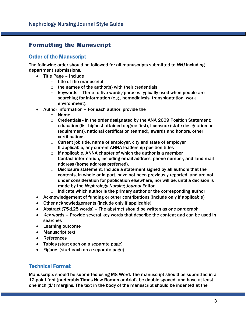#### Formatting the Manuscript

#### Order of the Manuscript

The following order should be followed for all manuscripts submitted to *NNJ* including department submissions.

- Title Page Include
	- $\circ$  title of the manuscript
	- $\circ$  the names of the author(s) with their credentials
	- $\circ$  keywords Three to five words/phrases typically used when people are searching for information (e.g., hemodialysis, transplantation, work environment).
- Author Information For each author, provide the
	- o Name
	- $\circ$  Credentials In the order designated by the ANA 2009 Position Statement: education (list highest attained degree first), licensure (state designation or requirement), national certification (earned), awards and honors, other certifications
	- $\circ$  Current job title, name of employer, city and state of employer
	- $\circ$  If applicable, any current ANNA leadership position titles
	- $\circ$  If applicable, ANNA chapter of which the author is a member
	- $\circ$  Contact information, including email address, phone number, and land mail address (home address preferred).
	- $\circ$  Disclosure statement. Include a statement signed by all authors that the contents, in whole or in part, have not been previously reported, and are not under consideration for publication elsewhere, nor will be, until a decision is made by the *Nephrology Nursing Journal* Editor.
	- $\circ$  Indicate which author is the primary author or the corresponding author
- Acknowledgement of funding or other contributions (include only if applicable)
- Other acknowledgements (include only if applicable)
- Abstract (75-125 words) The abstract should be written as one paragraph
- Key words Provide several key words that describe the content and can be used in searches
- Learning outcome
- Manuscript text
- References
- Tables (start each on a separate page)
- Figures (start each on a separate page)

#### Technical Format

Manuscripts should be submitted using MS Word. The manuscript should be submitted in a 12-point font (preferably Times New Roman or Arial), be double spaced, and have at least one inch  $(1)$  margins. The text in the body of the manuscript should be indented at the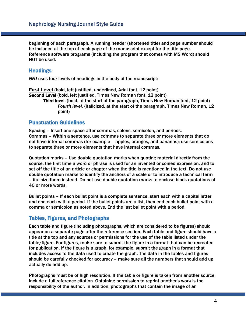beginning of each paragraph. A running header (shortened title) and page number should be included at the top of each page of the manuscript except for the title page. Reference software programs (including the program that comes with MS Word) should NOT be used.

#### **Headings**

*NNJ* uses four levels of headings in the body of the manuscript:

**First Level** (bold, left justified, underlined, Arial font, 12 point) Second Level (bold, left justified, Times New Roman font, 12 point) Third level. (bold, at the start of the paragraph, Times New Roman font, 12 point) *Fourth level.* (italicized, at the start of the paragraph, Times New Roman, 12 point)

#### Punctuation Guidelines

Spacing – Insert one space after commas, colons, semicolon, and periods. Commas – Within a sentence, use commas to separate three or more elements that do not have internal commas (for example – apples, oranges, and bananas); use semicolons to separate three or more elements that have internal commas.

Quotation marks – Use double quotation marks when quoting material directly from the source, the first time a word or phrase is used for an invented or coined expression, and to set off the title of an article or chapter when the title is mentioned in the text. Do not use double quotation marks to identify the anchors of a scale or to introduce a technical term – italicize them instead. Do not use double quotation marks to enclose block quotations of 40 or more words.

Bullet points – If each bullet point is a complete sentence, start each with a capital letter and end each with a period. If the bullet points are a list, then end each bullet point with a comma or semicolon as noted above. End the last bullet point with a period.

#### Tables, Figures, and Photographs

Each table and figure (including photographs, which are considered to be figures) should appear on a separate page after the reference section. Each table and figure should have a title at the top and any sources or permissions for the use of the table listed under the table/figure. For figures, make sure to submit the figure in a format that can be recreated for publication. If the figure is a graph, for example, submit the graph in a format that includes access to the data used to create the graph. The data in the tables and figures should be carefully checked for accuracy – make sure all the numbers that should add up actually do add up.

Photographs must be of high resolution. If the table or figure is taken from another source, include a full reference citation. Obtaining permission to reprint another's work is the responsibility of the author. In addition, photographs that contain the image of an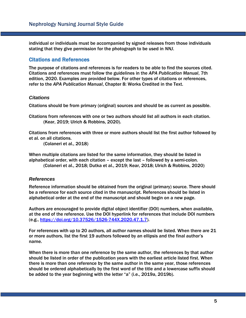individual or individuals must be accompanied by signed releases from those individuals stating that they give permission for the photograph to be used in *NNJ*.

#### Citations and References

The purpose of citations and references is for readers to be able to find the sources cited. Citations and references must follow the guidelines in the *APA Publication Manual*, 7th edition, 2020. Examples are provided below. For other types of citations or references, refer to the *APA Publication Manual*, Chapter 8: Works Credited in the Text.

#### *Citations*

Citations should be from primary (original) sources and should be as current as possible.

Citations from references with one or two authors should list all authors in each citation. (Kear, 2019; Ulrich & Robbins, 2020).

Citations from references with three or more authors should list the first author followed by et al. on all citations.

(Colaneri et al., 2018)

When multiple citations are listed for the same information, they should be listed in alphabetical order, with each citation – except the last – followed by a semi-colon. (Colaneri et al., 2018; Dutka et al., 2019; Kear, 2018; Ulrich & Robbins, 2020)

#### *References*

Reference information should be obtained from the original (primary) source. There should be a reference for each source cited in the manuscript. References should be listed in alphabetical order at the end of the manuscript and should begin on a new page.

Authors are encouraged to provide digital object identifier (DOI) numbers, when available, at the end of the reference. Use the DOI hyperlink for references that include DOI numbers (e.g., [https://doi.org/10.37526/1526-744X.2020.47.1.7\)](https://doi.org/10.37526/1526-744X.2020.47.1.7).

For references with up to 20 authors, all author names should be listed. When there are 21 or more authors, list the first 19 authors followed by an ellipsis and the final author's name.

When there is more than one reference by the same author, the references by that author should be listed in order of the publication years with the earliest article listed first. When there is more than one reference by the same author in the same year, those references should be ordered alphabetically by the first word of the title and a lowercase suffix should be added to the year beginning with the letter "a" (i.e., 2019a, 2019b).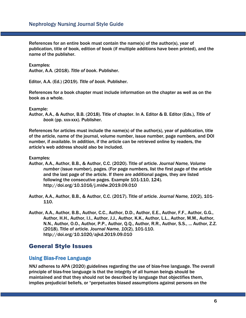References for an entire book must contain the name(s) of the author(s), year of publication, title of book, edition of book (if multiple additions have been printed), and the name of the publisher.

Examples:

Author, A.A. (2018). *Title of book*. Publisher.

Editor, A.A. (Ed.) (2019). *Title of book*. Publisher.

References for a book chapter must include information on the chapter as well as on the book as a whole.

Example:

Author, A.A., & Author, B.B. (2018). Title of chapter. In A. Editor & B. Editor (Eds.), *Title of book* (pp. xxx-xxx). Publisher.

References for articles must include the name(s) of the author(s), year of publication, title of the article, name of the journal, volume number, issue number, page numbers, and DOI number, if available. In addition, if the article can be retrieved online by readers, the article's web address should also be included.

Examples:

Author, A.A., Author, B.B., & Author, C.C. (2020). Title of article. *Journal Name, Volume number* (issue number), pages. (For page numbers, list the first page of the article and the last page of the article. If there are additional pages, they are listed following the consecutive pages. Example 101-110, 124). http://doi.org/10.1016/j.midw.2019.09.010

Author, A.A., Author, B.B., & Author, C.C. (2017). Title of article. *Journal Name, 10*(2), 101- 110.

Author, A.A., Author, B.B., Author, C.C., Author, D.D., Author, E.E., Author, F.F., Author, G.G., Author, H.H., Author, I.I., Author, J.J., Author, K.K., Author, L.L., Author, M.M., Author, N.N., Author, O.O., Author, P.P., Author, Q.Q., Author, R.R., Author, S.S., ... Author, Z.Z. (2018). Title of article. *Journal Name, 10*(2), 101-110. http://doi.org/10.1020/ajkd.2019.09.010

#### General Style Issues

#### Using Bias-Free Language

*NNJ* adheres to APA (2020) guidelines regarding the use of bias-free language. The overall principle of bias-free language is that the integrity of all human beings should be maintained and that they should not be described by language that objectifies them, implies prejudicial beliefs, or "perpetuates biased assumptions against persons on the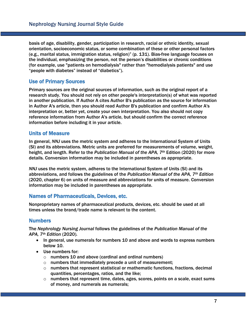basis of age, disability, gender, participation in research, racial or ethnic identity, sexual orientation, socioeconomic status, or some combination of these or other personal factors (e.g., marital status, immigration status, religion)" (p. 131). Bias-free language focuses on the individual, emphasizing the person, not the person's disabilities or chronic conditions (for example, use "patients on hemodialysis" rather than "hemodialysis patients" and use "people with diabetes" instead of "diabetics").

#### Use of Primary Sources

Primary sources are the original sources of information, such as the original report of a research study. You should not rely on other people's interpretation(s) of what was reported in another publication. If Author A cites Author B's publication as the source for information in Author A's article, then you should read Author B's publication and confirm Author A's interpretation or, better yet, create your own interpretation. You also should not copy reference information from Author A's article, but should confirm the correct reference information before including it in your article.

#### Units of Measure

In general, *NNJ* uses the metric system and adheres to the International System of Units (SI) and its abbreviations. Metric units are preferred for measurements of volume, weight, height, and length. Refer to the *Publication Manual of the APA, 7th* Edition (2020) for more details. Conversion information may be included in parentheses as appropriate.

*NNJ* uses the metric system, adheres to the International System of Units (SI) and its abbreviations, and follows the guidelines of the *Publication Manual of the APA, 7th Edition* (2020, chapter 6) on units of measure and abbreviations for units of measure. Conversion information may be included in parentheses as appropriate.

#### Names of Pharmaceuticals, Devices, etc.

Nonproprietary names of pharmaceutical products, devices, etc. should be used at all times unless the brand/trade name is relevant to the content.

#### **Numbers**

The *Nephrology Nursing Journal* follows the guidelines of the *Publication Manual of the APA, 7th Edition* (2020)*.*

- In general, use numerals for numbers 10 and above and words to express numbers below 10.
- Use numbers for:
	- o numbers 10 and above (cardinal and ordinal numbers)
	- $\circ$  numbers that immediately precede a unit of measurement;
	- $\circ$  numbers that represent statistical or mathematic functions, fractions, decimal quantities, percentages, ratios, and the like;
	- $\circ$  numbers that represent time, dates, ages, scores, points on a scale, exact sums of money, and numerals as numerals;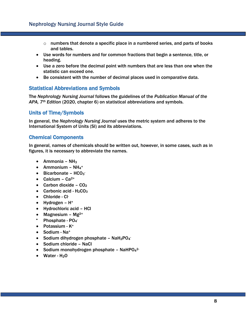- $\circ$  numbers that denote a specific place in a numbered series, and parts of books and tables.
- Use words for numbers and for common fractions that begin a sentence, title, or heading.
- Use a zero before the decimal point with numbers that are less than one when the statistic can exceed one.
- Be consistent with the number of decimal places used in comparative data.

#### Statistical Abbreviations and Symbols

The *Nephrology Nursing Journal* follows the guidelines of the *Publication Manual of the APA, 7th Edition* (2020, chapter 6) on statistical abbreviations and symbols.

#### Units of Time/Symbols

In general, the *Nephrology Nursing Journal* uses the metric system and adheres to the International System of Units (SI) and its abbreviations.

#### Chemical Components

In general, names of chemicals should be written out, however, in some cases, such as in figures, it is necessary to abbreviate the names.

- Ammonia  $NH<sub>3</sub>$
- Ammonium  $NH_4$ <sup>+</sup>
- $\bullet$  Bicarbonate HCO<sub>3</sub>
- Calcium  $Ca^{2+}$
- Carbon dioxide  $CO<sub>2</sub>$
- Carbonic acid  $H_2CO_3$
- Chloride Cl-
- Hydrogen  $H^+$
- Hydrochloric acid HCl
- Magnesium Mg $^{2+}$
- Phosphate PO<sub>4</sub>
- Potassium K<sup>+</sup>
- Sodium Na<sup>+</sup>
- Sodium dihydrogen phosphate NaH<sub>2</sub>PO<sub>4</sub>
- Sodium chloride NaCl
- Sodium monohydrogen phosphate NaHPO<sub>4</sub><sup>2-</sup>
- Water  $H<sub>2</sub>O$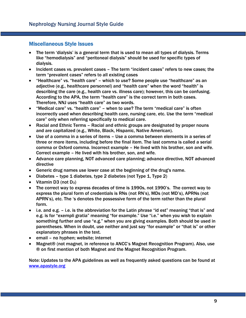#### Miscellaneous Style Issues

- The term 'dialysis' is a general term that is used to mean all types of dialysis. Terms like "hemodialysis" and "peritoneal dialysis" should be used for specific types of dialysis.
- Incident cases vs. prevalent cases The term "incident cases" refers to new cases; the term "prevalent cases" refers to all existing cases
- "Healthcare" vs. "health care" which to use? Some people use "healthcare" as an adjective (e.g., healthcare personnel) and "health care" when the word "health" is describing the care (e.g., health care vs. illness care); however, this can be confusing. According to the APA, the term "health care" is the correct term in both cases. Therefore, NNJ uses "health care" as two words.
- "Medical care" vs. "health care" when to use? The term "medical care" is often incorrectly used when describing health care, nursing care, etc. Use the term "medical care" only when referring specifically to medical care.
- Racial and Ethnic Terms Racial and ethnic groups are designated by proper nouns and are capitalized (e.g., White, Black, Hispanic, Native American).
- Use of a comma in a series of items Use a comma between elements in a series of three or more items, including before the final item. The last comma is called a serial comma or Oxford comma. Incorrect example – He lived with his brother, son and wife. Correct example – He lived with his brother, son, and wife.
- Advance care planning, NOT advanced care planning; advance directive, NOT advanced directive
- Generic drug names use lower case at the beginning of the drug's name.
- Diabetes type 1 diabetes, type 2 diabetes (not Type 1, Type 2)
- Vitamin D3 (not  $D_3$ )
- The correct way to express decades of time is 1990s, not 1990's. The correct way to express the plural form of credentials is RNs (not RN's), MDs (not MD's), APRNs (not APRN's), etc. The 's denotes the possessive form of the term rather than the plural form.
- i.e. and e.g. i.e. is the abbreviation for the Latin phrase "id est" meaning "that is" and e.g. is for "exempli gratia" meaning "for example." Use "i.e." when you wish to explain something further and use "e.g." when you are giving examples. Both should be used in parentheses. When in doubt, use neither and just say "for example" or "that is" or other explanatory phrases in the text.
- email no hyphen; website; internet
- Magnet® (not magnet, in reference to ANCC's Magnet Recognition Program). Also, use ® on first mention of both Magnet and the Magnet Recognition Program.

Note: Updates to the APA guidelines as well as frequently asked questions can be found at [www.apastyle.org](http://www.apastyle.org/)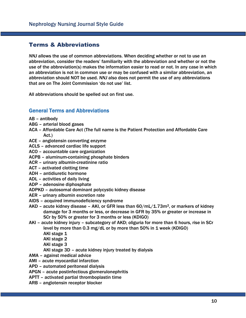#### Terms & Abbreviations

*NNJ* allows the use of common abbreviations. When deciding whether or not to use an abbreviation, consider the readers' familiarity with the abbreviation and whether or not the use of the abbreviation(s) makes the information easier to read or not. In any case in which an abbreviation is not in common use or may be confused with a similar abbreviation, an abbreviation should NOT be used. *NNJ* also does not permit the use of any abbreviations that are on The Joint Commission 'do not use' list.

All abbreviations should be spelled out on first use.

#### General Terms and Abbreviations

- AB antibody
- ABG arterial blood gases
- ACA Affordable Care Act (The full name is the Patient Protection and Affordable Care Act.)
- ACE angiotensin converting enzyme
- ACLS advanced cardiac life support
- ACO accountable care organization
- ACPB aluminum-containing phosphate binders
- ACR urinary albumin-creatinine ratio
- ACT activated clotting time
- ADH antidiuretic hormone
- ADL activities of daily living
- ADP adenosine diphosphate
- ADPKD autosomal dominant polycystic kidney disease
- AER urinary albumin excretion rate
- AIDS acquired immunodeficiency syndrome
- $AKD$  acute kidney disease AKI, or GFR less than  $60/mL/1.73m<sup>2</sup>$ , or markers of kidney damage for 3 months or less, or decrease in GFR by 35% or greater or increase in SCr by 50% or greater for 3 months or less (KDIGO)
- AKI acute kidney injury subcategory of AKD; oliguria for more than 6 hours, rise in SCr level by more than 0.3 mg/dL or by more than 50% in 1 week (KDIGO)
	- AKI stage 1
	- AKI stage 2
	- AKI stage 3
	- AKI stage 3D acute kidney injury treated by dialysis
- AMA against medical advice
- AMI acute myocardial infarction
- APD automated peritoneal dialysis
- APGN acute postinfectious glomerulonephritis
- APTT activated partial thromboplastin time
- ARB angiotensin receptor blocker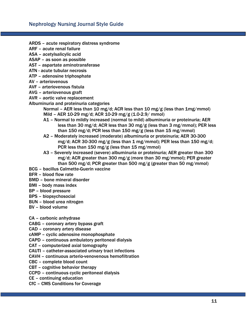- ARDS acute respiratory distress syndrome
- ARF acute renal failure
- ASA acetylsalicylic acid
- ASAP as soon as possible
- AST aspartate aminotransferase
- ATN acute tubular necrosis
- ATP adenosine triphosphate
- AV arteriovenous
- AVF arteriovenous fistula
- AVG arteriovenous graft
- AVR aortic valve replacement
- Albuminuria and proteinuria categories
	- Normal AER less than 10 mg/d; ACR less than 10 mg/g (less than 1mg/mmol) Mild – AER 10-29 mg/d; ACR 10-29 mg/g (1.0-2.9/ mmol)
	- A1 Normal to mildly increased (normal to mild) albuminuria or proteinuria; AER less than 30 mg/d; ACR less than 30 mg/g (less than 3 mg/mmol); PER less than 150 mg/d; PCR less than 150 mg/g (less than 15 mg/mmol)
	- A2 Moderately increased (moderate) albuminuria or proteinuria; AER 30-300 mg/d; ACR 30-300 mg/g (less than 1 mg/mmol); PER less than 150 mg/d; PCR less than 150 mg/g (less than 15 mg/mmol)
	- A3 Severely increased (severe) albuminuria or proteinuria; AER greater than 300 mg/d; ACR greater than 300 mg/g (more than 30 mg/mmol); PER greater than 500 mg/d; PCR greater than 500 mg/g (greater than 50 mg/mmol)
- BCG bacillus Calmette-Guerin vaccine
- BFR blood flow rate
- BMD bone mineral disorder
- BMI body mass index
- BP blood pressure
- BPS biopsychosocial
- BUN blood urea nitrogen
- BV blood volume

CA – carbonic anhydrase

CABG – coronary artery bypass graft

CAD – coronary artery disease

cAMP – cyclic adenosine monophosphate

CAPD – continuous ambulatory peritoneal dialysis

CAT – computerized axial tomography

CAUTI – catheter-associated urinary tract infections

CAVH – continuous arterio-venovenous hemofiltration

CBC – complete blood count

CBT – cognitive behavior therapy

CCPD – continuous cyclic peritoneal dialysis

CE – continuing education

CfC – CMS Conditions for Coverage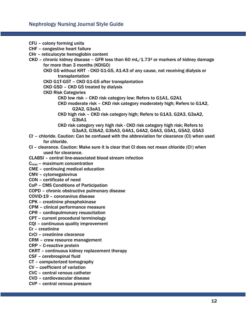CFU – colony forming units CHF – congestive heart failure CHr – reticulocyte hemoglobin content  $CKD$  – chronic kidney disease – GFR less than 60 mL/1.73<sup>2</sup> or markers of kidney damage for more than 3 months (KDIGO) CKD G5 without KRT - CKD G1-G5, A1-A3 of any cause, not receiving dialysis or transplantation CKD G1T-G5T – CKD G1-G5 after transplantation CKD G5D – CKD G5 treated by dialysis CKD Risk Categories CKD low risk – CKD risk category low; Refers to G1A1, G2A1 CKD moderate risk – CKD risk category moderately high; Refers to G1A2, G2A2, G3aA1 CKD high risk – CKD risk category high; Refers to G1A3, G2A3, G3aA2, G3bA1 CKD risk category very high risk - CKD risk category high risk; Refers to G3aA3, G3bA2, G3bA3, G4A1, G4A2, G4A3, G5A1, G5A2, G5A3 Cl- – chloride. Caution: Can be confused with the abbreviation for clearance (Cl) when used for chloride. CI - clearance. Caution: Make sure it is clear that CI does not mean chloride (CI-) when used for clearance. CLABSI – central line-associated blood stream infection  $C_{\text{max}}$  – maximum concentration CME – continuing medical education CMV – cytomegalovirus CON – certificate of need CoP – CMS Conditions of Participation COPD – chronic obstructive pulmonary disease COVID-19 – coronavirus disease CPK – creatinine phosphokinase CPM – clinical performance measure CPR – cardiopulmonary resuscitation CPT – current procedural terminology CQI – continuous quality improvement Cr – creatinine CrCl – creatinine clearance CRM – crew resource management CRP – C-reactive protein CKRT – continuous kidney replacement therapy CSF – cerebrospinal fluid CT – computerized tomography CV – coefficient of variation CVC – central venous catheter CVD – cardiovascular disease CVP – central venous pressure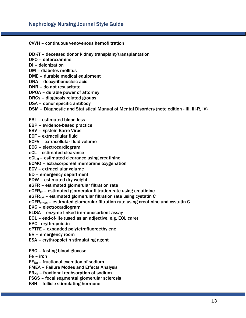CVVH – continuous venovenous hemofiltration

DDKT – deceased donor kidney transplant/transplantation

DFO – deferoxamine

DI – deionization

DM – diabetes mellitus

DME – durable medical equipment

DNA – deoxyribonucleic acid

DNR – do not resuscitate

DPOA – durable power of attorney

DRGs – diagnosis related groups

DSA – donor specific antibody

DSM – Diagnostic and Statistical Manual of Mental Disorders (note edition - III, III-R, IV)

- EBL estimated blood loss
- EBP evidence-based practice

EBV – Epstein Barre Virus

ECF – extracellular fluid

ECFV – extracellular fluid volume

ECG – electrocardiogram

eCL – estimated clearance

 $eCL<sub>cr</sub>$  – estimated clearance using creatinine

ECMO – extracorporeal membrane oxygenation

ECV – extracellular volume

ED – emergency department

EDW – estimated dry weight

eGFR – estimated glomerular filtration rate

eGFR<sub>cr</sub> – estimated glomerular filtration rate using creatinine

eGFR<sub>cys</sub> - estimated glomerular filtration rate using cystatin C

eGFR<sub>cr-cys</sub> - estimated glomerular filtration rate using creatinine and cystatin C

EKG – electrocardiogram

ELISA – enzyme-linked immunosorbent assay

EOL – end-of-life (used as an adjective, e.g. EOL care)

EPO - erythropoietin

ePTFE – expanded polytetrafluoroethylene

- ER emergency room
- ESA erythropoietin stimulating agent

FBG – fasting blood glucose

Fe – iron

 $FE<sub>Na</sub>$  – fractional excretion of sodium

FMEA – Failure Modes and Effects Analysis

 $FR_{Na}$  – fractional reabsorption of sodium

FSGS – focal segmental glomerular sclerosis

FSH – follicle-stimulating hormone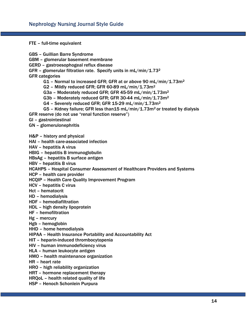FTE – full-time equivalent

GBS – Guillian Barre Syndrome GBM – glomerular basement membrane GERD – gastroesophogeal reflux disease GFR - glomerular filtration rate. Specify units in  $mL/min/1.73<sup>2</sup>$ GFR categories G1 - Normal to increased GFR; GFR at or above 90 mL/min/1.73m<sup>2</sup> G2 - Mildly reduced GFR; GFR 60-89 mL/min/1.73m<sup>2</sup> G3a - Moderately reduced GFR; GFR 45-59 mL/min/1.73m<sup>2</sup> G3b – Moderately reduced GFR; GFR 30-44 mL/min/1.73m<sup>2</sup> G4 - Severely reduced GFR; GFR 15-29 mL/min/1.73m<sup>2</sup> G5 - Kidney failure; GFR less than15 mL/min/1.73m<sup>2</sup> or treated by dialysis GFR reserve (do not use "renal function reserve") GI – gastrointestinal GN – glomerulonephritis H&P – history and physical HAI – health care-associated infection HAV – hepatitis A virus HBIG – hepatitis B immunoglobulin HBsAg – hepatitis B surface antigen HBV – hepatitis B virus HCAHPS – Hospital Consumer Assessment of Healthcare Providers and Systems HCP – health care provider HCQIP – Health Care Quality Improvement Program HCV – hepatitis C virus Hct – hematocrit HD – hemodialysis HDF – hemodiafiltration HDL – high density lipoprotein HF – hemofiltration Hg – mercury Hgb – hemoglobin HHD – home hemodialysis HIPAA – Health Insurance Portability and Accountability Act HIT – heparin-induced thrombocytopenia HIV – human immunodeficiency virus HLA – human leukocyte antigen HMO – health maintenance organization HR – heart rate HRO – high reliability organization HRT – hormone replacement therapy HRQoL – health related quality of life HSP – Henoch Schonlein Purpura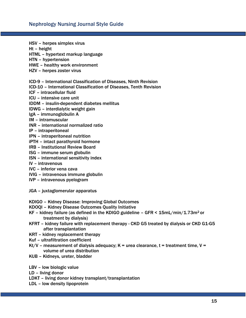HSV – herpes simplex virus

Ht – height

- HTML hypertext markup language
- HTN hypertension
- HWE healthy work environment
- HZV herpes zoster virus
- ICD-9 International Classification of Diseases, Ninth Revision
- ICD-10 International Classification of Diseases, Tenth Revision
- ICF intracellular fluid
- ICU intensive care unit
- IDDM insulin-dependent diabetes mellitus
- IDWG interdialytic weight gain
- IgA immunoglobulin A
- IM intramuscular
- INR international normalized ratio
- IP intraperitoneal
- IPN intraperitoneal nutrition
- iPTH intact parathyroid hormone
- IRB Institutional Review Board
- ISG immune serum globulin
- ISN international sensitivity index
- IV intravenous
- IVC inferior vena cava
- IVIG intravenous immune globulin
- IVP intravenous pyelogram
- JGA juxtaglomerular apparatus
- KDIGO Kidney Disease: Improving Global Outcomes
- KDOQI Kidney Disease Outcomes Quality Initiative
- KF kidney failure (as defined in the KDIGO guideline GFR < 15mL/min/1.73m<sup>2</sup> or treatment by dialysis)
- KFRT kidney failure with replacement therapy CKD G5 treated by dialysis or CKD G1-G5 after transplantation
- KRT kidney replacement therapy
- Kuf ultrafiltration coefficient
- Kt/V measurement of dialysis adequacy;  $K =$  urea clearance,  $t =$  treatment time,  $V =$ volume of urea distribution
- KUB Kidneys, ureter, bladder
- LBV low biologic value
- LD living donor
- LDKT living donor kidney transplant/transplantation
- LDL low density lipoprotein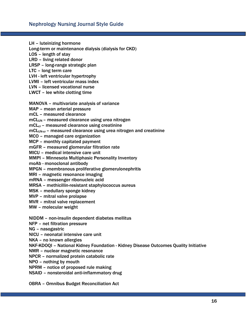LH – luteinizing hormone

Long-term or maintenance dialysis (dialysis for CKD)

LOS – length of stay

LRD – living related donor

LRSP – long-range strategic plan

LTC – long term care

LVH - left ventricular hypertrophy

LVMI – left ventricular mass index

LVN – licensed vocational nurse

LWCT – lee white clotting time

MANOVA – multivariate analysis of variance

MAP – mean arterial pressure

mCL – measured clearance

mCL<sub>UN</sub> – measured clearance using urea nitrogen

mCL<sub>cr</sub> – measured clearance using creatinine

mCLUN-cr – measured clearance using urea nitrogen and creatinine

MCO – managed care organization

MCP – monthly capitated payment

mGFR – measured glomerular filtration rate

MICU – medical intensive care unit

MMPI – Minnesota Multiphasic Personality Inventory

moAb - monoclonal antibody

MPGN – membranous proliferative glomerulonephritis

MRI – magnetic resonance imaging

mRNA – messenger ribonucleic acid

MRSA – methicillin-resistant staphylococcus aureus

MSK – medullary sponge kidney

MVP – mitral valve prolapse

MVR – mitral valve replacement

MW – molecular weight

NIDDM – non-insulin dependent diabetes mellitus

NFP – net filtration pressure

NG – nasogastric

NICU – neonatal intensive care unit

NKA – no known allergies

NKF-KDOQI – National Kidney Foundation - Kidney Disease Outcomes Quality Initiative

NMR – nuclear magnetic resonance

NPCR – normalized protein catabolic rate

NPO – nothing by mouth

NPRM – notice of proposed rule making

NSAID – nonsteroidal anti-inflammatory drug

OBRA – Omnibus Budget Reconciliation Act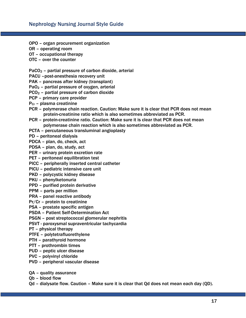- OPO organ procurement organization
- OR operating room
- OT occupational therapy
- OTC over the counter

 $PaCO<sub>2</sub>$  – partial pressure of carbon dioxide, arterial

- PACU –post-anesthesia recovery unit
- PAK pancreas after kidney (transplant)
- PaO<sup>2</sup> partial pressure of oxygen, arterial
- PCO<sup>2</sup> partial pressure of carbon dioxide
- PCP primary care provider
- PCr plasma creatinine
- PCR polymerase chain reaction. Caution: Make sure it is clear that PCR does not mean protein-creatinine ratio which is also sometimes abbreviated as PCR.
- PCR protein-creatinine ratio. Caution: Make sure it is clear that PCR does not mean polymerase chain reaction which is also sometimes abbreviated as PCR.
- PCTA percutaneous transluminal angioplasty
- PD peritoneal dialysis
- PDCA plan, do, check, act
- PDSA plan, do, study, act
- PER urinary protein excretion rate
- PET peritoneal equilibration test
- PICC peripherally inserted central catheter
- PICU pediatric intensive care unit
- PKD polycystic kidney disease
- PKU phenylketonuria
- PPD purified protein derivative
- PPM parts per million
- PRA panel reactive antibody
- Pr/Cr protein to creatinine
- PSA prostate specific antigen
- PSDA Patient Self-Determination Act
- PSGN post streptococcal glomerular nephritis
- PSVT paroxysmal supraventricular tachycardia
- PT physical therapy
- PTFE polytetrafluorethylene
- PTH parathyroid hormone
- PTT prothrombin times
- PUD peptic ulcer disease
- PVC polyvinyl chloride
- PVD peripheral vascular disease
- QA quality assurance
- Qb blood flow
- Qd dialysate flow. Caution Make sure it is clear that Qd does not mean each day (QD).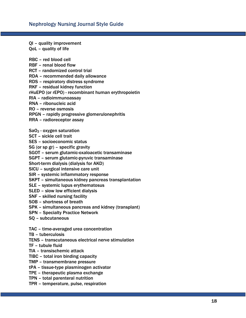QI – quality improvement QoL – quality of life

RBC – red blood cell

RBF – renal blood flow

RCT – randomized control trial

RDA – recommended daily allowance

RDS – respiratory distress syndrome

RKF – residual kidney function

rHuEPO (or rEPO) - recombinant human erythropoietin

RIA – radioimmunoassay

RNA – ribonucleic acid

RO – reverse osmosis

RPGN – rapidly progressive glomerulonephritis

RRA – radioreceptor assay

SaO<sup>2</sup> - oxygen saturation

SCT – sickle cell trait

SES – socioeconomic status

SG (or sp gr) – specific gravity

SGOT – serum glutamic-oxaloacetic transaminase

SGPT – serum glutamic-pyruvic transaminase

Short-term dialysis (dialysis for AKD)

SICU – surgical intensive care unit

SIR – systemic inflammatory response

SKPT – simultaneous kidney pancreas transplantation

SLE – systemic lupus erythematosus

SLED – slow low efficient dialysis

SNF – skilled nursing facility

SOB – shortness of breath

SPK – simultaneous pancreas and kidney (transplant)

SPN – Specialty Practice Network

SQ – subcutaneous

TAC – time-averaged urea concentration

TB – tuberculosis

TENS – transcutaneous electrical nerve stimulation

TF – tubule fluid

TIA – transischemic attack

TIBC – total iron binding capacity

TMP – transmembrane pressure

tPA – tissue-type plasminogen activator

TPE – therapeutic plasma exchange

TPN – total parenteral nutrition

TPR – temperature, pulse, respiration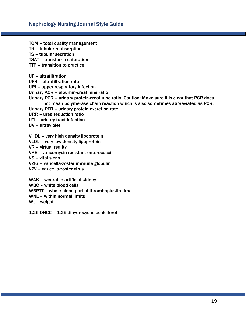TQM – total quality management TR – tubular reabsorption TS – tubular secretion TSAT – transferrin saturation

TTP – transition to practice

UF – ultrafiltration

UFR – ultrafiltration rate

URI – upper respiratory infection

Urinary ACR – albumin-creatinine ratio

Urinary PCR – urinary protein-creatinine ratio. Caution: Make sure it is clear that PCR does not mean polymerase chain reaction which is also sometimes abbreviated as PCR.

Urinary PER – urinary protein excretion rate

URR – urea reduction ratio

UTI – urinary tract infection

UV – ultraviolet

VHDL – very high density lipoprotein

VLDL – very low density lipoprotein

VR – virtual reality

VRE – vancomycin-resistant enterococci

VS – vital signs

VZIG – varicella-zoster immune globulin

VZV – varicella-zoster virus

WAK – wearable artificial kidney

WBC – white blood cells

WBPTT – whole blood partial thromboplastin time

WNL – within normal limits

Wt – weight

1,25-DHCC – 1,25 dihydroxycholecalciferol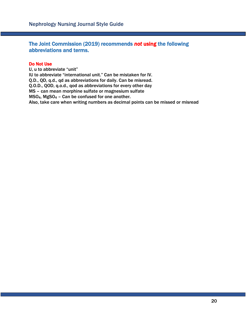The Joint Commission (2019) recommends *not* using the following abbreviations and terms.

#### Do Not Use

U, u to abbreviate "unit" IU to abbreviate "international unit." Can be mistaken for IV. Q.D., QD, q.d., qd as abbreviations for daily. Can be misread. Q.O.D., QOD, q.o.d., qod as abbreviations for every other day MS – can mean morphine sulfate or magnesium sulfate MSO4, MgSO<sup>4</sup> – Can be confused for one another. Also, take care when writing numbers as decimal points can be missed or misread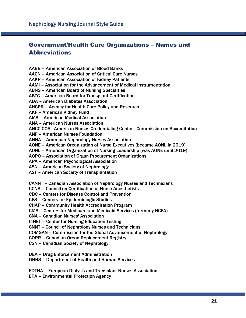### Government/Health Care Organizations – Names and Abbreviations

AABB – American Association of Blood Banks

AACN – American Association of Critical Care Nurses

AAKP – American Association of Kidney Patients

AAMI – Association for the Advancement of Medical Instrumentation

ABNS – American Board of Nursing Specialties

ABTC – American Board for Transplant Certification

ADA – American Diabetes Association

AHCPR – Agency for Health Care Policy and Research

AKF – American Kidney Fund

AMA – American Medical Association

ANA – American Nurses Association

ANCC-COA - American Nurses Credentialing Center - Commission on Accreditation

ANF – American Nurses Foundation

ANNA – American Nephrology Nurses Association

AONE – American Organization of Nurse Executives (became AONL in 2019)

AONL – American Organization of Nursing Leadership (was AONE until 2019)

AOPO – Association of Organ Procurement Organizations

APA – American Psychological Association

ASN – American Society of Nephrology

AST – American Society of Transplantation

CANNT – Canadian Association of Nephrology Nurses and Technicians

CCNA – Council on Certification of Nurse Anesthetists

CDC – Centers for Disease Control and Prevention

CES – Centers for Epidemiologic Studies

CHAP – Community Health Accreditation Program

CMS – Centers for Medicare and Medicaid Services (formerly HCFA)

CNA – Canadian Nurses' Association

C-NET – Center for Nursing Education Testing

CNNT – Council of Nephrology Nurses and Technicians

COMGAN – Commission for the Global Advancement of Nephrology

CORR – Canadian Organ Replacement Registry

CSN – Canadian Society of Nephrology

DEA – Drug Enforcement Administration

DHHS – Department of Health and Human Services

EDTNA – European Dialysis and Transplant Nurses Association EPA – Environmental Protection Agency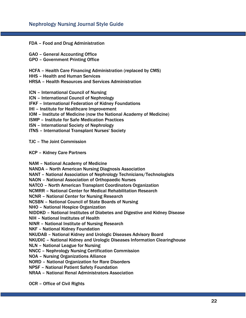FDA – Food and Drug Administration

- GAO General Accounting Office
- GPO Government Printing Office

HCFA – Health Care Financing Administration (replaced by CMS)

- HHS Health and Human Services
- HRSA Health Resources and Services Administration
- ICN International Council of Nursing
- ICN International Council of Nephrology
- IFKF International Federation of Kidney Foundations
- IHI Institute for Healthcare Improvement
- IOM Institute of Medicine (now the National Academy of Medicine)
- ISMP Institute for Safe Medication Practices
- ISN International Society of Nephrology
- ITNS International Transplant Nurses' Society

#### TJC – The Joint Commission

KCP – Kidney Care Partners

NAM – National Academy of Medicine

NANDA – North American Nursing Diagnosis Association

NANT – National Association of Nephrology Technicians/Technologists

NAON – National Association of Orthopaedic Nurses

NATCO – North American Transplant Coordinators Organization

NCMRR – National Center for Medical Rehabilitation Research

NCNR – National Center for Nursing Research

NCSBN – National Council of State Boards of Nursing

NHO – National Hospice Organization

NIDDKD – National Institutes of Diabetes and Digestive and Kidney Disease

NIH – National Institutes of Health

NINR – National Institute of Nursing Research

NKF – National Kidney Foundation

NKUDAB – National Kidney and Urologic Diseases Advisory Board

NKUDIC – National Kidney and Urologic Diseases Information Clearinghouse

NLN – National League for Nursing

NNCC – Nephrology Nursing Certification Commission

NOA – Nursing Organizations Alliance

NORD – National Organization for Rare Disorders

NPSF – National Patient Safety Foundation

NRAA – National Renal Administrators Association

OCR – Office of Civil Rights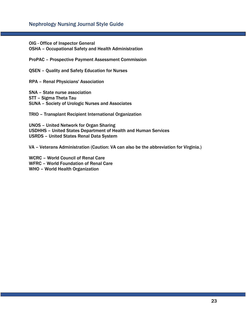OIG - Office of Inspector General

OSHA – Occupational Safety and Health Administration

ProPAC – Prospective Payment Assessment Commission

QSEN – Quality and Safety Education for Nurses

RPA – Renal Physicians' Association

SNA – State nurse association STT – Sigma Theta Tau SUNA – Society of Urologic Nurses and Associates

TRIO – Transplant Recipient International Organization

UNOS – United Network for Organ Sharing USDHHS – United States Department of Health and Human Services USRDS – United States Renal Data System

VA – Veterans Administration (Caution: VA can also be the abbreviation for Virginia.)

WCRC – World Council of Renal Care WFRC – World Foundation of Renal Care

WHO – World Health Organization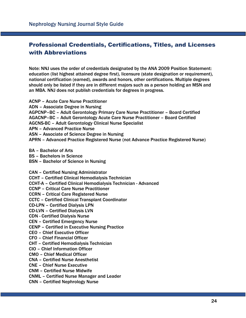## Professional Credentials, Certifications, Titles, and Licenses with Abbreviations

Note: NNJ uses the order of credentials designated by the ANA 2009 Position Statement: education (list highest attained degree first), licensure (state designation or requirement), national certification (earned), awards and honors, other certifications. Multiple degrees should only be listed if they are in different majors such as a person holding an MSN and an MBA. NNJ does not publish credentials for degrees in progress.

ACNP – Acute Care Nurse Practitioner ADN – Associate Degree in Nursing AGPCNP–BC – Adult Gerontology Primary Care Nurse Practitioner – Board Certified AGACNP–BC – Adult Gerontology Acute Care Nurse Practitioner – Board Certified AGCNS-BC – Adult Gerontology Clinical Nurse Specialist APN – Advanced Practice Nurse ASN – Associate of Science Degree in Nursing APRN – Advanced Practice Registered Nurse (not Advance Practice Registered Nurse)

BA – Bachelor of Arts

- BS Bachelors in Science
- BSN Bachelor of Science in Nursing

CAN – Certified Nursing Administrator CCHT – Certified Clinical Hemodialysis Technician CCHT-A – Certified Clinical Hemodialysis Technician - Advanced CCNP – Critical Care Nurse Practitioner CCRN – Critical Care Registered Nurse CCTC – Certified Clinical Transplant Coordinator CD-LPN – Certified Dialysis LPN CD-LVN – Certified Dialysis LVN CDN - Certified Dialysis Nurse CEN – Certified Emergency Nurse CENP – Certified in Executive Nursing Practice CEO – Chief Executive Officer CFO – Chief Financial Officer CHT – Certified Hemodialysis Technician CIO – Chief Information Officer CMO – Chief Medical Officer CNA – Certified Nurse Anesthetist

CNE – Chief Nurse Executive

CNM – Certified Nurse Midwife

CNML – Certified Nurse Manager and Leader

CNN – Certified Nephrology Nurse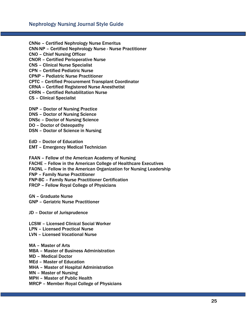CNNe – Certified Nephrology Nurse Emeritus CNN-NP – Certified Nephrology Nurse - Nurse Practitioner CNO – Chief Nursing Officer CNOR – Certified Perioperative Nurse CNS – Clinical Nurse Specialist CPN – Certified Pediatric Nurse CPNP – Pediatric Nurse Practitioner CPTC – Certified Procurement Transplant Coordinator CRNA – Certified Registered Nurse Anesthetist CRRN – Certified Rehabilitation Nurse CS – Clinical Specialist DNP – Doctor of Nursing Practice DNS – Doctor of Nursing Science DNSc – Doctor of Nursing Science DO – Doctor of Osteopathy DSN – Doctor of Science in Nursing EdD – Doctor of Education EMT – Emergency Medical Technician FAAN – Fellow of the American Academy of Nursing FACHE – Fellow in the American College of Healthcare Executives FAONL – Fellow in the American Organization for Nursing Leadership FNP – Family Nurse Practitioner FNP-BC – Family Nurse Practitioner Certification FRCP – Fellow Royal College of Physicians GN – Graduate Nurse GNP – Geriatric Nurse Practitioner JD – Doctor of Jurisprudence LCSW – Licensed Clinical Social Worker LPN – Licensed Practical Nurse LVN – Licensed Vocational Nurse MA – Master of Arts MBA – Master of Business Administration MD – Medical Doctor MEd – Master of Education MHA – Master of Hospital Administration MN – Master of Nursing

MPH – Master of Public Health

MRCP – Member Royal College of Physicians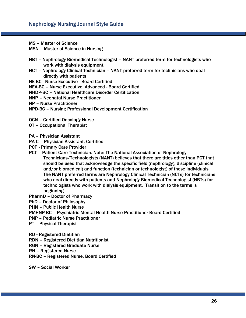- MS Master of Science
- MSN Master of Science in Nursing
- NBT Nephrology Biomedical Technologist NANT preferred term for technologists who work with dialysis equipment.
- NCT Nephrology Clinical Technician NANT preferred term for technicians who deal directly with patients
- NE-BC Nurse Executive Board Certified

NEA-BC – Nurse Executive, Advanced - Board Certified

- NHDP-BC National Healthcare Disorder Certification
- NNP Neonatal Nurse Practitioner
- NP Nurse Practitioner
- NPD-BC Nursing Professional Development Certification
- OCN Certified Oncology Nurse
- OT Occupational Therapist
- PA Physician Assistant
- PA-C Physician Assistant, Certified
- PCP Primary Care Provider
- PCT Patient Care Technician. Note: The National Association of Nephrology Technicians/Technologists (NANT) believes that there are titles other than PCT that should be used that acknowledge the specific field (nephrology), discipline (clinical and/or biomedical) and function (technician or technologist) of these individuals. The NANT preferred terms are Nephrology Clinical Technician (NCTs) for technicians who deal directly with patients and Nephrology Biomedical Technologist (NBTs) for technologists who work with dialysis equipment. Transition to the terms is beginning.
- PharmD Doctor of Pharmacy
- PhD Doctor of Philosophy
- PHN Public Health Nurse
- PMHNP-BC Psychiatric-Mental Health Nurse Practitioner-Board Certified
- PNP Pediatric Nurse Practitioner
- PT Physical Therapist
- RD Registered Dietitian
- RDN Registered Dietitian Nutritionist
- RGN Registered Graduate Nurse
- RN Registered Nurse
- RN-BC Registered Nurse, Board Certified

SW – Social Worker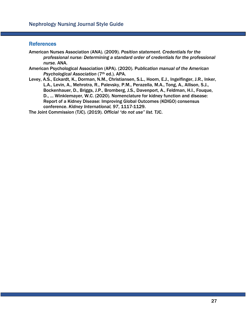#### **References**

- American Nurses Association (ANA). (2009). *Position statement. Credentials for the professional nurse: Determining a standard order of credentials for the professional nurse.* ANA.
- American Psychological Association (APA). (2020). Pu*blication manual of the American Psychological Association* (7th ed.). APA.
- Levey, A.S., Eckardt, K., Dorman, N.M., Christiansen, S.L., Hoom, E.J., Ingelfinger, J.R., Inker, L.A., Levin, A., Mehrotra, R., Palevsky, P.M., Perazella, M.A., Tong, A., Allison, S.J., Bockenhauer, D., Briggs, J.P., Bromberg, J.S., Davenport, A., Feldman, H.I., Fouque, D., ... Winklemayer, W.C. (2020). Nomenclature for kidney function and disease: Report of a Kidney Disease: Improving Global Outcomes (KDIGO) consensus conference. *Kidney International, 97*, 1117-1129.

The Joint Commission (TJC). (2019). *Official "do not use" list.* TJC.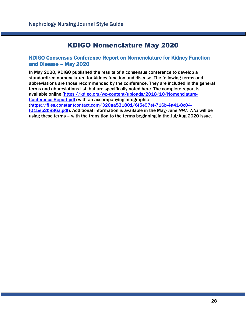# KDIGO Nomenclature May 2020

#### KDIGO Consensus Conference Report on Nomenclature for Kidney Function and Disease – May 2020

In May 2020, KDIGO published the results of a consensus conference to develop a standardized nomenclature for kidney function and disease. The following terms and abbreviations are those recommended by the conference. They are included in the general terms and abbreviations list, but are specifically noted here. The complete report is available online [\(https://kdigo.org/wp-content/uploads/2018/10/Nomenclature-](https://kdigo.org/wp-content/uploads/2018/10/Nomenclature-Conference-Report.pdf)[Conference-Report.pdf\)](https://kdigo.org/wp-content/uploads/2018/10/Nomenclature-Conference-Report.pdf) with an accompanying infographic [\(https://files.constantcontact.com/320aa531801/6f5e97ef-716b-4a41-8c04](https://files.constantcontact.com/320aa531801/6f5e97ef-716b-4a41-8c04-f015eb2b886a.pdf) [f015eb2b886a.pdf\)](https://files.constantcontact.com/320aa531801/6f5e97ef-716b-4a41-8c04-f015eb2b886a.pdf). Additional information is available in the May/June *NNJ*. *NNJ* will be using these terms – with the transition to the terms beginning in the Jul/Aug 2020 issue.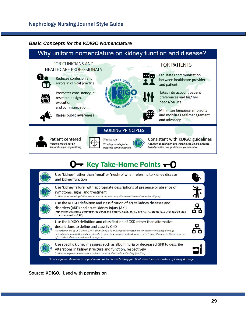#### *Basic Concepts for the KDIGO Nomenclature*

# Why uniform nomenclature on kidney function and disease?



# O- Key Take-Home Points - O



Source: KDIGO. Used with permission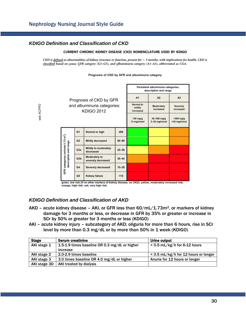#### *KDIGO Definition and Classification of CKD*

web 4C/FPO

#### **CURRENT CHRONIC KIDNEY DISEASE (CKD) NOMENCLATURE USED BY KDIGO**

CKD is defined as abnormalities of kidney structure or function, present for  $>$  3 months, with implications for health. CKD is classified based on cause, GFR category (G1-G5), and albuminuria category (A1-A3), abbreviated as CGA.

Prognosis of CKD by GFR and albuminuria category

|  |                                                                        |                |                                                  | Persistent albuminuria categories,<br>description and range |                                |                                 |                            |
|--|------------------------------------------------------------------------|----------------|--------------------------------------------------|-------------------------------------------------------------|--------------------------------|---------------------------------|----------------------------|
|  |                                                                        |                | Prognosis of CKD by GFR                          | A <sub>1</sub>                                              | A2                             | A <sub>3</sub>                  |                            |
|  |                                                                        |                | and albuminuria categories:<br><b>KDIGO 2012</b> | <b>Normal</b> to<br>mildly<br>increased                     | <b>Moderately</b><br>increased | <b>Severely</b><br>increased    |                            |
|  |                                                                        |                |                                                  |                                                             | $30$ mg/g<br><3 mg/mmol        | $30 - 300$ mg/g<br>3-30 mg/mmol | $>300$ mg/g<br>>30 mg/mmol |
|  | GFR categories (ml/min/1.73 m <sup>2</sup> ),<br>description and range | G <sub>1</sub> | Normal or high                                   | 290                                                         |                                |                                 |                            |
|  |                                                                        | G <sub>2</sub> | <b>Mildly decreased</b>                          | $60 - 89$                                                   |                                |                                 |                            |
|  |                                                                        | G3a            | <b>Mildly to moderately</b><br>decreased         | $45 - 59$                                                   |                                |                                 |                            |
|  |                                                                        | G3b            | <b>Moderately to</b><br>severely decreased       | $30 - 44$                                                   |                                |                                 |                            |
|  |                                                                        | G4             | <b>Severely decreased</b>                        | $15 - 29$                                                   |                                |                                 |                            |
|  |                                                                        | G <sub>5</sub> | <b>Kidney failure</b>                            | < 15                                                        |                                |                                 |                            |

green, low risk (if no other markers of kidney disease, no CKD); yellow, moderately increased risk; orange, high risk; red, very high risk.

#### *KDIGO Definition and Classification of AKD*

- $AKD$  acute kidney disease AKI, or GFR less than  $60/mL/1.73m<sup>2</sup>$ , or markers of kidney damage for 3 months or less, or decrease in GFR by 35% or greater or increase in SCr by 50% or greater for 3 months or less (KDIGO)
- AKI acute kidney injury subcategory of AKD; oliguria for more than 6 hours, rise in SCr level by more than 0.3 mg/dL or by more than 50% in 1 week (KDIGO)

| <b>Stage</b> | <b>Serum creatinine</b>                       | Urine output                           |  |
|--------------|-----------------------------------------------|----------------------------------------|--|
| AKI stage 1  | 1.5-1.9 times baseline OR 0.3 mg/dL or higher | $< 0.5$ mL/kg/h for 6-12 hours         |  |
|              | increase                                      |                                        |  |
| AKI stage 2  | 2.0-2.9 times baseline                        | $<$ 0.5 mL/kg/h for 12 hours or longer |  |
| AKI stage 3  | 3.0 times baseline OR 4.0 mg/dL or higher     | Anuria for 12 hours or longer          |  |
| AKI stage 3D | AKI treated by dialysis                       |                                        |  |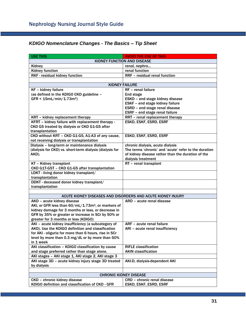| <b>USE THIS</b>                                                | <b>AVOID THE USE OF THIS</b>                                |  |  |  |  |  |
|----------------------------------------------------------------|-------------------------------------------------------------|--|--|--|--|--|
| KIDNEY FUNCTION AND DISEASE                                    |                                                             |  |  |  |  |  |
| Kidney                                                         | renal, nephro                                               |  |  |  |  |  |
| <b>Kidney function</b>                                         | renal function                                              |  |  |  |  |  |
| RKF - residual kidney function                                 | RRF - residual renal function                               |  |  |  |  |  |
|                                                                |                                                             |  |  |  |  |  |
| <b>KIDNEY FAILURE</b>                                          |                                                             |  |  |  |  |  |
| KF - kidney failure                                            | RF - renal failure                                          |  |  |  |  |  |
| (as defined in the KDIGO CKD guideline -                       | End stage                                                   |  |  |  |  |  |
| $GFR < 15mL/min/1.73m2$ )                                      | ESKD - end stage kidney disease                             |  |  |  |  |  |
|                                                                | ESKF - end stage kidney failure                             |  |  |  |  |  |
|                                                                | ESRD - end stage renal disease                              |  |  |  |  |  |
|                                                                | ESRF - end stage renal failure                              |  |  |  |  |  |
| KRT - kidney replacement therapy                               | RRT - renal replacement therapy                             |  |  |  |  |  |
| KFRT - kidney failure with replacement therapy -               | ESKD, ESKF, ESRD, ESRF                                      |  |  |  |  |  |
| CKD G5 treated by dialysis or CKD G1-G5 after                  |                                                             |  |  |  |  |  |
| transplantation                                                |                                                             |  |  |  |  |  |
| CKD without KRT - CKD G1-G5, A1-A3 of any cause,               | ESKD, ESKF, ESRD, ESRF                                      |  |  |  |  |  |
| not receiving dialysis or transplantation                      |                                                             |  |  |  |  |  |
| Dialysis - long-term or maintenance dialysis                   | chronic dialysis, acute dialysis                            |  |  |  |  |  |
| (dialysis for CKD) vs. short-term dialysis (dialysis for       | The terms 'chronic' and 'acute' refer to the duration       |  |  |  |  |  |
| AKD).                                                          | of kidney disease rather than the duration of the           |  |  |  |  |  |
|                                                                | dialysis treatment                                          |  |  |  |  |  |
| KT - Kidney transplant                                         | RT - renal transplant                                       |  |  |  |  |  |
| CKD G1T-G5T - CKD G1-G5 after transplantation                  |                                                             |  |  |  |  |  |
| LDKT - living donor kidney transplant/<br>transplantation      |                                                             |  |  |  |  |  |
| DDKT - deceased donor kidney transplant/                       |                                                             |  |  |  |  |  |
| transplantation                                                |                                                             |  |  |  |  |  |
|                                                                |                                                             |  |  |  |  |  |
|                                                                | ACUTE KIDNEY DISEASES AND DISORDERS AND ACUTE KIDNEY INJURY |  |  |  |  |  |
| AKD - acute kidney disease                                     | ARD - acute renal disease                                   |  |  |  |  |  |
| AKI, or GFR less than 60/mL/1.73m <sup>2</sup> , or markers of |                                                             |  |  |  |  |  |
| kidney damage for 3 months or less, or decrease in             |                                                             |  |  |  |  |  |
| GFR by 35% or greater or increase in SCr by 50% or             |                                                             |  |  |  |  |  |
| greater for 3 months or less (KDIGO)                           |                                                             |  |  |  |  |  |
| AKI - acute kidney insufficiency (a subcategory of             | ARF - acute renal failure                                   |  |  |  |  |  |
| AKD). Use the KDIGO definition and classification              | ARI - acute renal insufficiency                             |  |  |  |  |  |
| for AKI - oliguria for more than 6 hours, rise in SCr          |                                                             |  |  |  |  |  |
| level by more than 0.3 mg/dL or by more than 50%               |                                                             |  |  |  |  |  |
| in 1 week                                                      |                                                             |  |  |  |  |  |
| AKI classification - KDIGO classification by cause             | <b>RIFLE classification</b>                                 |  |  |  |  |  |
| and stage preferred rather than stage alone.                   | <b>AKIN classification</b>                                  |  |  |  |  |  |
| AKI stages - AKI stage 1, AKI stage 2, AKI stage 3             |                                                             |  |  |  |  |  |
| AKI stage 3D - acute kidney injury stage 3D treated            | AKI-D, dialysis-dependent AKI                               |  |  |  |  |  |
| by dialysis                                                    |                                                             |  |  |  |  |  |
|                                                                |                                                             |  |  |  |  |  |
| <b>CHRONIC KIDNEY DISEASE</b>                                  |                                                             |  |  |  |  |  |
| CKD - chronic kidney disease                                   | <b>CRD</b> - chronic renal disease                          |  |  |  |  |  |
| KDIGO definition and classification of CKD - GFR               | ESKD, ESKF, ESRD, ESRF                                      |  |  |  |  |  |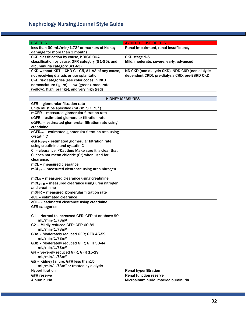| <b>USE THIS</b>                                                   | <b>AVOID THE USE OF THIS</b>                      |
|-------------------------------------------------------------------|---------------------------------------------------|
| less than 60 mL/min/1.73 <sup>2</sup> or markers of kidney        | Renal impairment, renal insufficiency             |
| damage for more than 3 months                                     |                                                   |
| CKD classification by cause, KDIGO CGA                            | CKD stage 1-5                                     |
| classification by cause, GFR category (G1-G5), and                | Mild, moderate, severe, early, advanced           |
| albuminuria category (A1-A3).                                     |                                                   |
| CKD without KRT - CKD G1-G5, A1-A3 of any cause,                  | ND-CKD (non-dialysis CKD), NDD-CKD (non-dialysis- |
| not receiving dialysis or transplantation                         | dependent CKD), pre-dialysis CKD, pre-ESRD CKD    |
| CKD risk categories (see color codes in CKD                       |                                                   |
| nomenclature figure) - low (green), moderate                      |                                                   |
| (yellow), high (orange), and very high (red)                      |                                                   |
|                                                                   |                                                   |
|                                                                   | <b>KIDNEY MEASURES</b>                            |
| GFR - glomerular filtration rate                                  |                                                   |
| Units must be specified (mL/min/1.73 <sup>2</sup> )               |                                                   |
| mGFR - measured glomerular filtration rate                        |                                                   |
| eGFR - estimated glomerular filtration rate                       |                                                   |
| eGFR <sub>cr</sub> - estimated glomerular filtration rate using   |                                                   |
| creatinine                                                        |                                                   |
| eGFR <sub>cys</sub> - estimated glomerular filtration rate using  |                                                   |
| cystatin C                                                        |                                                   |
| eGFR <sub>cr-cys</sub> - estimated glomerular filtration rate     |                                                   |
| using creatinine and cystatin C                                   |                                                   |
| CI - clearance. * Caution: Make sure it is clear that             |                                                   |
| CI does not mean chloride (CI-) when used for                     |                                                   |
| clearance.                                                        |                                                   |
| mCL - measured clearance                                          |                                                   |
| mCL <sub>UN</sub> - measured clearance using urea nitrogen        |                                                   |
|                                                                   |                                                   |
| mCL <sub>cr</sub> - measured clearance using creatinine           |                                                   |
| mCL <sub>UN-cr</sub> - measured clearance using urea nitrogen     |                                                   |
| and creatinine                                                    |                                                   |
| mGFR - measured glomerular filtration rate                        |                                                   |
| eCL - estimated clearance                                         |                                                   |
| eCL <sub>cr</sub> - estimated clearance using creatinine          |                                                   |
| <b>GFR categories</b>                                             |                                                   |
|                                                                   |                                                   |
| G1 - Normal to increased GFR; GFR at or above 90                  |                                                   |
| mL/min/1.73m <sup>2</sup>                                         |                                                   |
| G2 - Mildly reduced GFR; GFR 60-89                                |                                                   |
| mL/min/1.73m <sup>2</sup>                                         |                                                   |
| G3a - Moderately reduced GFR; GFR 45-59                           |                                                   |
| mL/min/1.73m <sup>2</sup>                                         |                                                   |
|                                                                   |                                                   |
| G3b - Moderately reduced GFR; GFR 30-44                           |                                                   |
| mL/min/1.73m <sup>2</sup><br>G4 - Severely reduced GFR; GFR 15-29 |                                                   |
| mL/min/1.73m <sup>2</sup>                                         |                                                   |
|                                                                   |                                                   |
| G5 - Kidney failure; GFR less than15                              |                                                   |
| mL/min/1.73m <sup>2</sup> or treated by dialysis                  |                                                   |
| Hyperfiltration                                                   | <b>Renal hyperfiltration</b>                      |
| <b>GFR</b> reserve<br>Albuminuria                                 | <b>Renal function reserve</b>                     |
|                                                                   | Microalbuminuria, macroalbuminuria                |